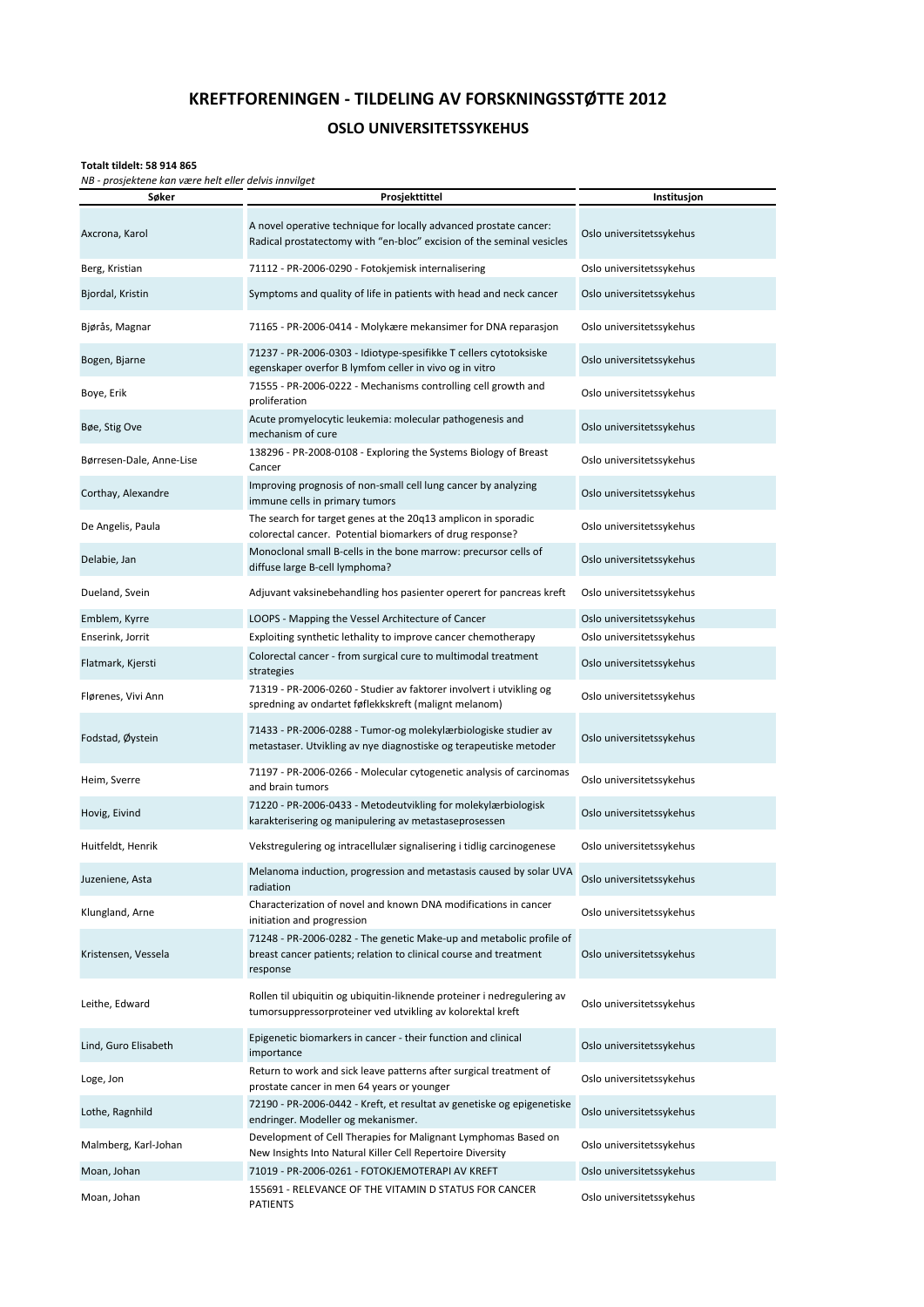## **KREFTFORENINGEN - TILDELING AV FORSKNINGSSTØTTE 2012**

## **OSLO UNIVERSITETSSYKEHUS**

## **Totalt tildelt: 58 914 865**

*NB - prosjektene kan være helt eller delvis innvilget*

| Søker                    | Prosjekttittel                                                                                                                                       | Institusjon              |
|--------------------------|------------------------------------------------------------------------------------------------------------------------------------------------------|--------------------------|
| Axcrona, Karol           | A novel operative technique for locally advanced prostate cancer:<br>Radical prostatectomy with "en-bloc" excision of the seminal vesicles           | Oslo universitetssykehus |
| Berg, Kristian           | 71112 - PR-2006-0290 - Fotokjemisk internalisering                                                                                                   | Oslo universitetssykehus |
| Bjordal, Kristin         | Symptoms and quality of life in patients with head and neck cancer                                                                                   | Oslo universitetssykehus |
| Bjørås, Magnar           | 71165 - PR-2006-0414 - Molykære mekansimer for DNA reparasjon                                                                                        | Oslo universitetssykehus |
| Bogen, Bjarne            | 71237 - PR-2006-0303 - Idiotype-spesifikke T cellers cytotoksiske<br>egenskaper overfor B lymfom celler in vivo og in vitro                          | Oslo universitetssykehus |
| Boye, Erik               | 71555 - PR-2006-0222 - Mechanisms controlling cell growth and<br>proliferation                                                                       | Oslo universitetssykehus |
| Bøe, Stig Ove            | Acute promyelocytic leukemia: molecular pathogenesis and<br>mechanism of cure                                                                        | Oslo universitetssykehus |
| Børresen-Dale, Anne-Lise | 138296 - PR-2008-0108 - Exploring the Systems Biology of Breast<br>Cancer                                                                            | Oslo universitetssykehus |
| Corthay, Alexandre       | Improving prognosis of non-small cell lung cancer by analyzing<br>immune cells in primary tumors                                                     | Oslo universitetssykehus |
| De Angelis, Paula        | The search for target genes at the 20q13 amplicon in sporadic<br>colorectal cancer. Potential biomarkers of drug response?                           | Oslo universitetssykehus |
| Delabie, Jan             | Monoclonal small B-cells in the bone marrow: precursor cells of<br>diffuse large B-cell lymphoma?                                                    | Oslo universitetssykehus |
| Dueland, Svein           | Adjuvant vaksinebehandling hos pasienter operert for pancreas kreft                                                                                  | Oslo universitetssykehus |
| Emblem, Kyrre            | LOOPS - Mapping the Vessel Architecture of Cancer                                                                                                    | Oslo universitetssykehus |
| Enserink, Jorrit         | Exploiting synthetic lethality to improve cancer chemotherapy                                                                                        | Oslo universitetssykehus |
| Flatmark, Kjersti        | Colorectal cancer - from surgical cure to multimodal treatment<br>strategies                                                                         | Oslo universitetssykehus |
| Flørenes, Vivi Ann       | 71319 - PR-2006-0260 - Studier av faktorer involvert i utvikling og<br>spredning av ondartet føflekkskreft (malignt melanom)                         | Oslo universitetssykehus |
| Fodstad, Øystein         | 71433 - PR-2006-0288 - Tumor-og molekylærbiologiske studier av<br>metastaser. Utvikling av nye diagnostiske og terapeutiske metoder                  | Oslo universitetssykehus |
| Heim, Sverre             | 71197 - PR-2006-0266 - Molecular cytogenetic analysis of carcinomas<br>and brain tumors                                                              | Oslo universitetssykehus |
| Hovig, Eivind            | 71220 - PR-2006-0433 - Metodeutvikling for molekylærbiologisk<br>karakterisering og manipulering av metastaseprosessen                               | Oslo universitetssykehus |
| Huitfeldt, Henrik        | Vekstregulering og intracellulær signalisering i tidlig carcinogenese                                                                                | Oslo universitetssykehus |
| Iuzeniene, Asta          | Melanoma induction, progression and metastasis caused by solar UVA<br>radiation                                                                      | Oslo universitetssykehus |
| Klungland, Arne          | Characterization of novel and known DNA modifications in cancer<br>initiation and progression                                                        | Oslo universitetssykehus |
| Kristensen, Vessela      | 71248 - PR-2006-0282 - The genetic Make-up and metabolic profile of<br>breast cancer patients; relation to clinical course and treatment<br>response | Oslo universitetssykehus |
| Leithe, Edward           | Rollen til ubiquitin og ubiquitin-liknende proteiner i nedregulering av<br>tumorsuppressorproteiner ved utvikling av kolorektal kreft                | Oslo universitetssykehus |
| Lind, Guro Elisabeth     | Epigenetic biomarkers in cancer - their function and clinical<br>importance                                                                          | Oslo universitetssykehus |
| Loge, Jon                | Return to work and sick leave patterns after surgical treatment of<br>prostate cancer in men 64 years or younger                                     | Oslo universitetssykehus |
| Lothe, Ragnhild          | 72190 - PR-2006-0442 - Kreft, et resultat av genetiske og epigenetiske<br>endringer. Modeller og mekanismer.                                         | Oslo universitetssykehus |
| Malmberg, Karl-Johan     | Development of Cell Therapies for Malignant Lymphomas Based on<br>New Insights Into Natural Killer Cell Repertoire Diversity                         | Oslo universitetssykehus |
| Moan, Johan              | 71019 - PR-2006-0261 - FOTOKJEMOTERAPI AV KREFT                                                                                                      | Oslo universitetssykehus |
| Moan, Johan              | 155691 - RELEVANCE OF THE VITAMIN D STATUS FOR CANCER<br><b>PATIENTS</b>                                                                             | Oslo universitetssykehus |